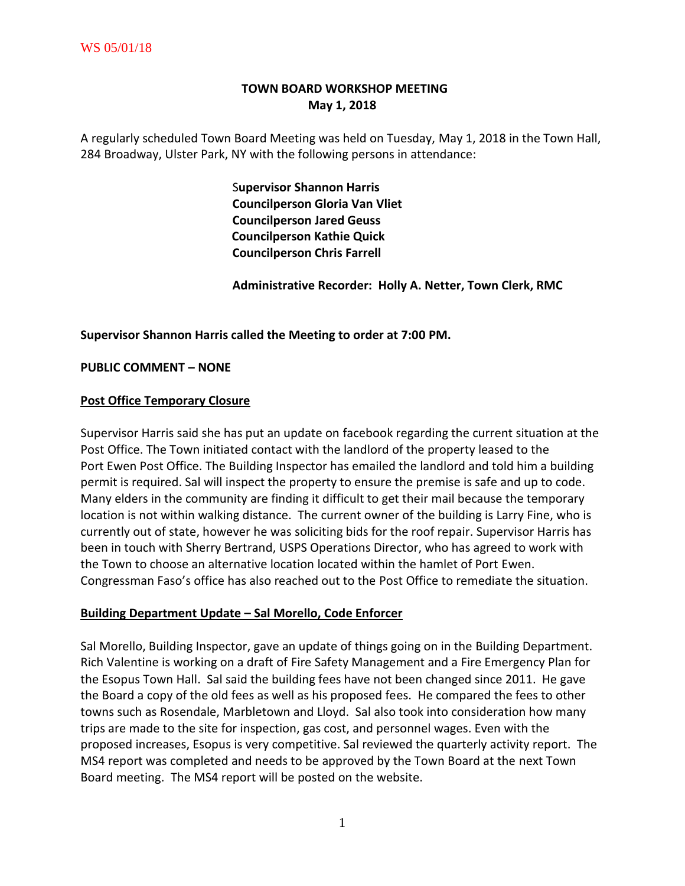# **TOWN BOARD WORKSHOP MEETING May 1, 2018**

A regularly scheduled Town Board Meeting was held on Tuesday, May 1, 2018 in the Town Hall, 284 Broadway, Ulster Park, NY with the following persons in attendance:

> S**upervisor Shannon Harris Councilperson Gloria Van Vliet Councilperson Jared Geuss Councilperson Kathie Quick Councilperson Chris Farrell**

 **Administrative Recorder: Holly A. Netter, Town Clerk, RMC**

**Supervisor Shannon Harris called the Meeting to order at 7:00 PM.** 

**PUBLIC COMMENT – NONE**

#### **Post Office Temporary Closure**

Supervisor Harris said she has put an update on facebook regarding the current situation at the Post Office. The Town initiated contact with the landlord of the property leased to the Port Ewen Post Office. The Building Inspector has emailed the landlord and told him a building permit is required. Sal will inspect the property to ensure the premise is safe and up to code. Many elders in the community are finding it difficult to get their mail because the temporary location is not within walking distance. The current owner of the building is Larry Fine, who is currently out of state, however he was soliciting bids for the roof repair. Supervisor Harris has been in touch with Sherry Bertrand, USPS Operations Director, who has agreed to work with the Town to choose an alternative location located within the hamlet of Port Ewen. Congressman Faso's office has also reached out to the Post Office to remediate the situation.

#### **Building Department Update – Sal Morello, Code Enforcer**

Sal Morello, Building Inspector, gave an update of things going on in the Building Department. Rich Valentine is working on a draft of Fire Safety Management and a Fire Emergency Plan for the Esopus Town Hall. Sal said the building fees have not been changed since 2011. He gave the Board a copy of the old fees as well as his proposed fees. He compared the fees to other towns such as Rosendale, Marbletown and Lloyd. Sal also took into consideration how many trips are made to the site for inspection, gas cost, and personnel wages. Even with the proposed increases, Esopus is very competitive. Sal reviewed the quarterly activity report. The MS4 report was completed and needs to be approved by the Town Board at the next Town Board meeting. The MS4 report will be posted on the website.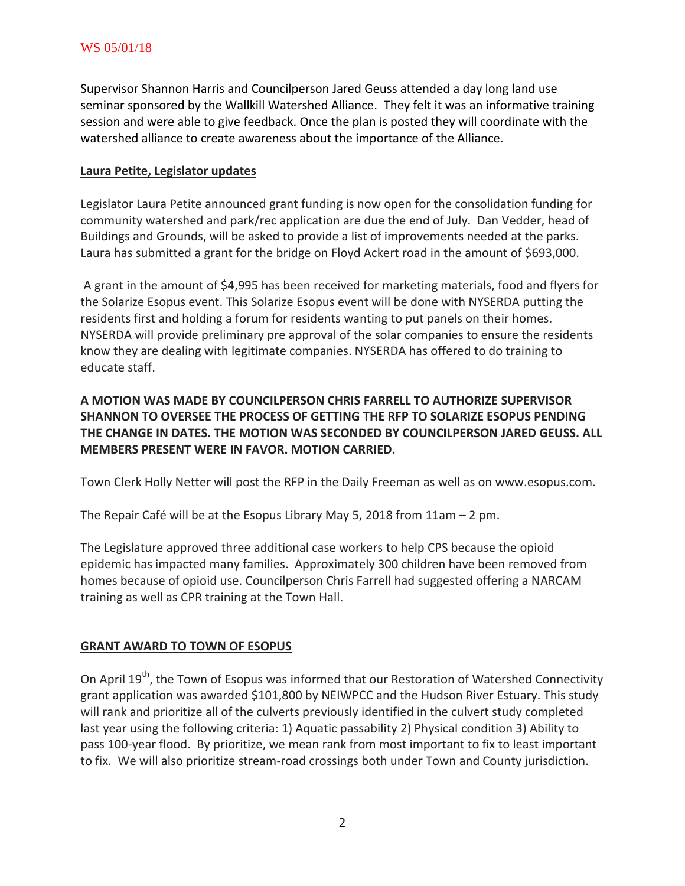Supervisor Shannon Harris and Councilperson Jared Geuss attended a day long land use seminar sponsored by the Wallkill Watershed Alliance. They felt it was an informative training session and were able to give feedback. Once the plan is posted they will coordinate with the watershed alliance to create awareness about the importance of the Alliance.

#### **Laura Petite, Legislator updates**

Legislator Laura Petite announced grant funding is now open for the consolidation funding for community watershed and park/rec application are due the end of July. Dan Vedder, head of Buildings and Grounds, will be asked to provide a list of improvements needed at the parks. Laura has submitted a grant for the bridge on Floyd Ackert road in the amount of \$693,000.

A grant in the amount of \$4,995 has been received for marketing materials, food and flyers for the Solarize Esopus event. This Solarize Esopus event will be done with NYSERDA putting the residents first and holding a forum for residents wanting to put panels on their homes. NYSERDA will provide preliminary pre approval of the solar companies to ensure the residents know they are dealing with legitimate companies. NYSERDA has offered to do training to educate staff.

# **A MOTION WAS MADE BY COUNCILPERSON CHRIS FARRELL TO AUTHORIZE SUPERVISOR SHANNON TO OVERSEE THE PROCESS OF GETTING THE RFP TO SOLARIZE ESOPUS PENDING THE CHANGE IN DATES. THE MOTION WAS SECONDED BY COUNCILPERSON JARED GEUSS. ALL MEMBERS PRESENT WERE IN FAVOR. MOTION CARRIED.**

Town Clerk Holly Netter will post the RFP in the Daily Freeman as well as on www.esopus.com.

The Repair Café will be at the Esopus Library May 5, 2018 from 11am – 2 pm.

The Legislature approved three additional case workers to help CPS because the opioid epidemic has impacted many families. Approximately 300 children have been removed from homes because of opioid use. Councilperson Chris Farrell had suggested offering a NARCAM training as well as CPR training at the Town Hall.

#### **GRANT AWARD TO TOWN OF ESOPUS**

On April 19<sup>th</sup>, the Town of Esopus was informed that our Restoration of Watershed Connectivity grant application was awarded \$101,800 by NEIWPCC and the Hudson River Estuary. This study will rank and prioritize all of the culverts previously identified in the culvert study completed last year using the following criteria: 1) Aquatic passability 2) Physical condition 3) Ability to pass 100-year flood. By prioritize, we mean rank from most important to fix to least important to fix. We will also prioritize stream-road crossings both under Town and County jurisdiction.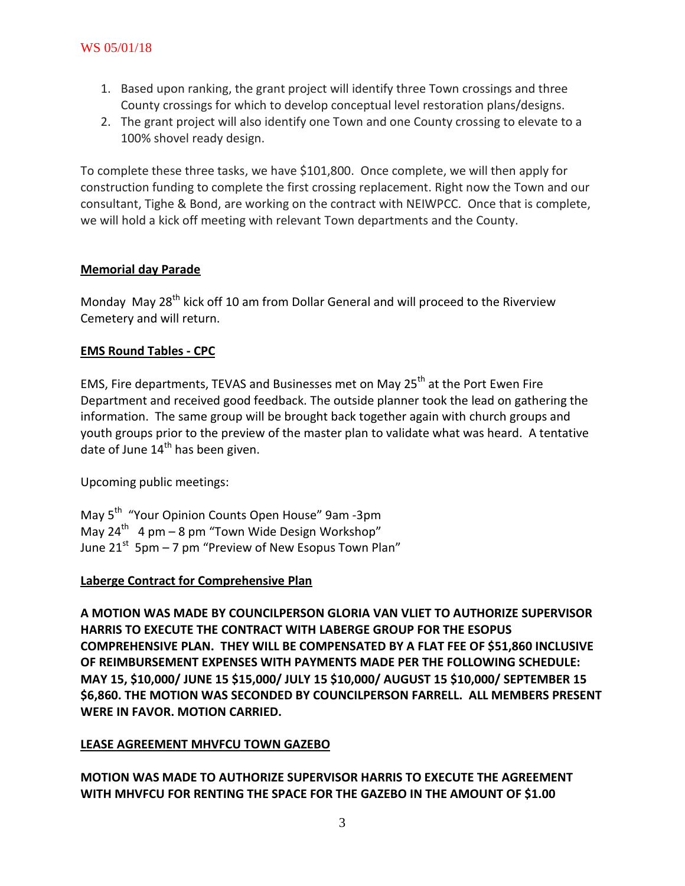- 1. Based upon ranking, the grant project will identify three Town crossings and three County crossings for which to develop conceptual level restoration plans/designs.
- 2. The grant project will also identify one Town and one County crossing to elevate to a 100% shovel ready design.

To complete these three tasks, we have \$101,800. Once complete, we will then apply for construction funding to complete the first crossing replacement. Right now the Town and our consultant, Tighe & Bond, are working on the contract with NEIWPCC. Once that is complete, we will hold a kick off meeting with relevant Town departments and the County.

### **Memorial day Parade**

Monday May 28<sup>th</sup> kick off 10 am from Dollar General and will proceed to the Riverview Cemetery and will return.

## **EMS Round Tables - CPC**

EMS, Fire departments, TEVAS and Businesses met on May 25<sup>th</sup> at the Port Ewen Fire Department and received good feedback. The outside planner took the lead on gathering the information. The same group will be brought back together again with church groups and youth groups prior to the preview of the master plan to validate what was heard. A tentative date of June  $14<sup>th</sup>$  has been given.

Upcoming public meetings:

May 5<sup>th</sup> "Your Opinion Counts Open House" 9am -3pm May 24<sup>th</sup> 4 pm – 8 pm "Town Wide Design Workshop" June 21<sup>st</sup> 5pm – 7 pm "Preview of New Esopus Town Plan"

## **Laberge Contract for Comprehensive Plan**

**A MOTION WAS MADE BY COUNCILPERSON GLORIA VAN VLIET TO AUTHORIZE SUPERVISOR HARRIS TO EXECUTE THE CONTRACT WITH LABERGE GROUP FOR THE ESOPUS COMPREHENSIVE PLAN. THEY WILL BE COMPENSATED BY A FLAT FEE OF \$51,860 INCLUSIVE OF REIMBURSEMENT EXPENSES WITH PAYMENTS MADE PER THE FOLLOWING SCHEDULE: MAY 15, \$10,000/ JUNE 15 \$15,000/ JULY 15 \$10,000/ AUGUST 15 \$10,000/ SEPTEMBER 15 \$6,860. THE MOTION WAS SECONDED BY COUNCILPERSON FARRELL. ALL MEMBERS PRESENT WERE IN FAVOR. MOTION CARRIED.**

## **LEASE AGREEMENT MHVFCU TOWN GAZEBO**

**MOTION WAS MADE TO AUTHORIZE SUPERVISOR HARRIS TO EXECUTE THE AGREEMENT WITH MHVFCU FOR RENTING THE SPACE FOR THE GAZEBO IN THE AMOUNT OF \$1.00**